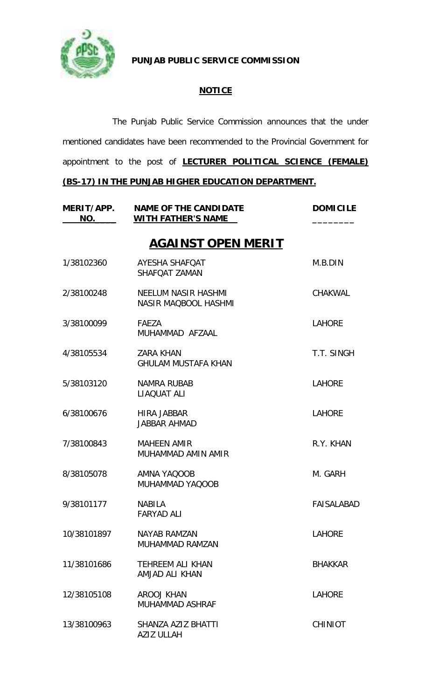

**PUNJAB PUBLIC SERVICE COMMISSION**

### **NOTICE**

The Punjab Public Service Commission announces that the under mentioned candidates have been recommended to the Provincial Government for appointment to the post of **LECTURER POLITICAL SCIENCE (FEMALE)** 

### **(BS-17) IN THE PUNJAB HIGHER EDUCATION DEPARTMENT.**

| MERIT/APP.<br>NO. | <b>NAME OF THE CANDIDATE</b><br><b>WITH FATHER'S NAME</b> | <b>DOMICILE</b>   |
|-------------------|-----------------------------------------------------------|-------------------|
|                   | <b>AGAINST OPEN MERIT</b>                                 |                   |
| 1/38102360        | AYESHA SHAFQAT<br>SHAFOAT ZAMAN                           | M.B.DIN           |
| 2/38100248        | NEELUM NASIR HASHMI<br><b>NASIR MAQBOOL HASHMI</b>        | <b>CHAKWAL</b>    |
| 3/38100099        | FAEZA<br>MUHAMMAD AFZAAL                                  | <b>LAHORE</b>     |
| 4/38105534        | <b>ZARA KHAN</b><br><b>GHULAM MUSTAFA KHAN</b>            | T.T. SINGH        |
| 5/38103120        | <b>NAMRA RUBAB</b><br>LIAQUAT ALI                         | <b>LAHORE</b>     |
| 6/38100676        | <b>HIRA JABBAR</b><br><b>JABBAR AHMAD</b>                 | <b>LAHORE</b>     |
| 7/38100843        | <b>MAHEEN AMIR</b><br>MUHAMMAD AMIN AMIR                  | R.Y. KHAN         |
| 8/38105078        | AMNA YAQOOB<br>MUHAMMAD YAQOOB                            | M. GARH           |
| 9/38101177        | <b>NABILA</b><br>FARYAD ALI                               | <b>FAISALABAD</b> |
| 10/38101897       | <b>NAYAB RAMZAN</b><br>MUHAMMAD RAMZAN                    | <b>LAHORE</b>     |
| 11/38101686       | <b>TEHREEM ALI KHAN</b><br>AMJAD ALI KHAN                 | <b>BHAKKAR</b>    |
| 12/38105108       | <b>AROOJ KHAN</b><br><b>MUHAMMAD ASHRAF</b>               | LAHORE            |
| 13/38100963       | SHANZA AZIZ BHATTI<br>AZIZ ULLAH                          | <b>CHINIOT</b>    |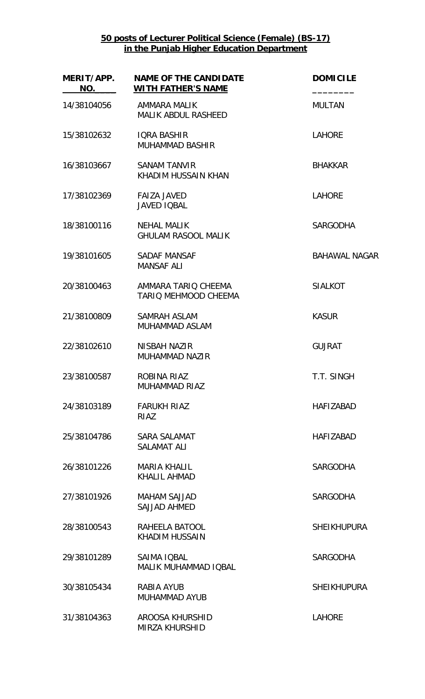**50 posts of Lecturer Political Science (Female) (BS-17) in the Punjab Higher Education Department**

| MERIT/APP.<br>NO. | <b>NAME OF THE CANDIDATE</b><br><b>WITH FATHER'S NAME</b> | <b>DOMICILE</b>      |
|-------------------|-----------------------------------------------------------|----------------------|
| 14/38104056       | AMMARA MALIK<br><b>MALIK ABDUL RASHEED</b>                | <b>MULTAN</b>        |
| 15/38102632       | <b>IQRA BASHIR</b><br><b>MUHAMMAD BASHIR</b>              | <b>LAHORE</b>        |
| 16/38103667       | <b>SANAM TANVIR</b><br>KHADIM HUSSAIN KHAN                | <b>BHAKKAR</b>       |
| 17/38102369       | <b>FAIZA JAVED</b><br><b>JAVED IQBAL</b>                  | <b>LAHORE</b>        |
| 18/38100116       | <b>NEHAL MALIK</b><br><b>GHULAM RASOOL MALIK</b>          | <b>SARGODHA</b>      |
| 19/38101605       | <b>SADAF MANSAF</b><br><b>MANSAF ALI</b>                  | <b>BAHAWAL NAGAR</b> |
| 20/38100463       | AMMARA TARIO CHEEMA<br>TARIQ MEHMOOD CHEEMA               | <b>SIALKOT</b>       |
| 21/38100809       | <b>SAMRAH ASLAM</b><br><b>MUHAMMAD ASLAM</b>              | <b>KASUR</b>         |
| 22/38102610       | NISBAH NAZIR<br>MUHAMMAD NAZIR                            | <b>GUJRAT</b>        |
| 23/38100587       | ROBINA RIAZ<br><b>MUHAMMAD RIAZ</b>                       | T.T. SINGH           |
| 24/38103189       | <b>FARUKH RIAZ</b><br><b>RIAZ</b>                         | <b>HAFIZABAD</b>     |
| 25/38104786       | SARA SALAMAT<br><b>SALAMAT ALI</b>                        | <b>HAFIZABAD</b>     |
| 26/38101226       | <b>MARIA KHALIL</b><br><b>KHALIL AHMAD</b>                | <b>SARGODHA</b>      |
| 27/38101926       | <b>MAHAM SAJJAD</b><br><b>SAJJAD AHMED</b>                | <b>SARGODHA</b>      |
| 28/38100543       | RAHEELA BATOOL<br><b>KHADIM HUSSAIN</b>                   | <b>SHEIKHUPURA</b>   |
| 29/38101289       | SAIMA IQBAL<br><b>MALIK MUHAMMAD IQBAL</b>                | <b>SARGODHA</b>      |
| 30/38105434       | RABIA AYUB<br><b>MUHAMMAD AYUB</b>                        | <b>SHEIKHUPURA</b>   |
| 31/38104363       | AROOSA KHURSHID<br><b>MIRZA KHURSHID</b>                  | <b>LAHORE</b>        |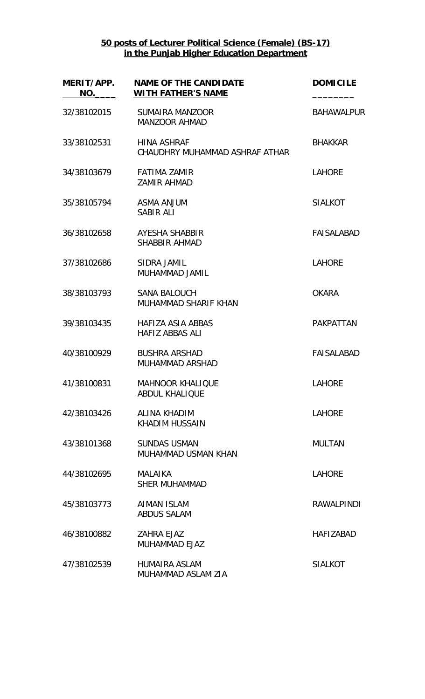## **50 posts of Lecturer Political Science (Female) (BS-17) in the Punjab Higher Education Department**

| MERIT/APP.<br>NO. | <b>NAME OF THE CANDIDATE</b><br><b>WITH FATHER'S NAME</b> | <b>DOMICILE</b>   |
|-------------------|-----------------------------------------------------------|-------------------|
| 32/38102015       | <b>SUMAIRA MANZOOR</b><br><b>MANZOOR AHMAD</b>            | <b>BAHAWALPUR</b> |
| 33/38102531       | <b>HINA ASHRAF</b><br>CHAUDHRY MUHAMMAD ASHRAF ATHAR      | <b>BHAKKAR</b>    |
| 34/38103679       | <b>FATIMA ZAMIR</b><br><b>ZAMIR AHMAD</b>                 | <b>LAHORE</b>     |
| 35/38105794       | <b>ASMA ANJUM</b><br><b>SABIR ALI</b>                     | <b>SIALKOT</b>    |
| 36/38102658       | <b>AYESHA SHABBIR</b><br><b>SHABBIR AHMAD</b>             | <b>FAISALABAD</b> |
| 37/38102686       | SIDRA JAMIL<br>MUHAMMAD JAMIL                             | <b>LAHORE</b>     |
| 38/38103793       | <b>SANA BALOUCH</b><br>MUHAMMAD SHARIF KHAN               | <b>OKARA</b>      |
| 39/38103435       | HAFIZA ASIA ABBAS<br><b>HAFIZ ABBAS ALI</b>               | <b>PAKPATTAN</b>  |
| 40/38100929       | <b>BUSHRA ARSHAD</b><br>MUHAMMAD ARSHAD                   | <b>FAISALABAD</b> |
| 41/38100831       | <b>MAHNOOR KHALIQUE</b><br><b>ABDUL KHALIQUE</b>          | <b>LAHORE</b>     |
| 42/38103426       | ALINA KHADIM<br><b>KHADIM HUSSAIN</b>                     | <b>LAHORE</b>     |
| 43/38101368       | <b>SUNDAS USMAN</b><br>MUHAMMAD USMAN KHAN                | <b>MULTAN</b>     |
| 44/38102695       | <b>MAI AIKA</b><br><b>SHER MUHAMMAD</b>                   | <b>LAHORE</b>     |
| 45/38103773       | <b>AIMAN ISLAM</b><br><b>ABDUS SALAM</b>                  | <b>RAWALPINDI</b> |
| 46/38100882       | <b>ZAHRA EJAZ</b><br><b>MUHAMMAD EJAZ</b>                 | <b>HAFIZABAD</b>  |
| 47/38102539       | <b>HUMAIRA ASLAM</b><br>MUHAMMAD ASLAM ZIA                | <b>SIALKOT</b>    |